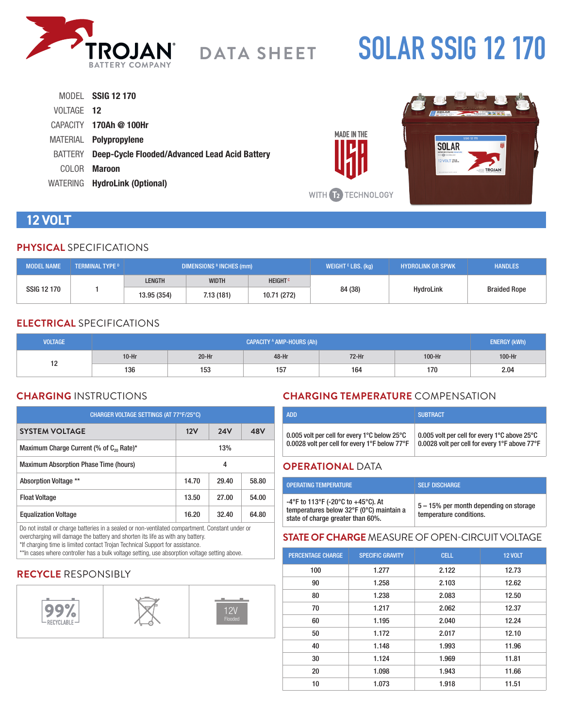

# **SOLAR SSIG 12 170**

|            | MODEL SSIG 12 170                                     |
|------------|-------------------------------------------------------|
| VOLTAGE 12 |                                                       |
|            | $CAPACITY$ 170Ah @ 100Hr                              |
|            | MATERIAL <b>Polypropylene</b>                         |
|            | BATTERY Deep-Cycle Flooded/Advanced Lead Acid Battery |
|            | COLOR <b>Maroon</b>                                   |
|            | WATERING HydroLink (Optional)                         |



# **12 VOLT**

# **PHYSICAL** SPECIFICATIONS

| <b>MODEL NAME</b> | <b>TERMINAL TYPE D</b> | <b>DIMENSIONS BINCHES (mm)</b> |                           |             | WEIGHT $E$ LBS. (kg) | <b>HYDROLINK OR SPWK</b> | <b>HANDLES</b>      |
|-------------------|------------------------|--------------------------------|---------------------------|-------------|----------------------|--------------------------|---------------------|
| SSIG 12 170       | <b>LENGTH</b>          | <b>WIDTH</b>                   | <b>HEIGHT<sup>c</sup></b> |             |                      |                          |                     |
|                   |                        | 13.95 (354)                    | 7.13(181)                 | 10.71 (272) | 84 (38)              | <b>HydroLink</b>         | <b>Braided Rope</b> |

# **ELECTRICAL** SPECIFICATIONS

| <b>VOLTAGE</b> | <b>CAPACITY A AMP-HOURS (Ah)</b> |         |       |         | <b>ENERGY (kWh)</b> |        |
|----------------|----------------------------------|---------|-------|---------|---------------------|--------|
| 10<br>14       | $10-Hr$                          | $20-Hr$ | 48-Hr | $72-Hr$ | $100-Hr$            | 100-Hr |
|                | 136                              | 153     | 157   | 164     | 170                 | 2.04   |

# **CHARGING** INSTRUCTIONS

| CHARGER VOLTAGE SETTINGS (AT 77°F/25°C)                    |       |            |       |  |  |
|------------------------------------------------------------|-------|------------|-------|--|--|
| <b>SYSTEM VOLTAGE</b>                                      | 12V   | <b>24V</b> | 48V   |  |  |
| Maximum Charge Current (% of C <sub>20</sub> Rate)*<br>13% |       |            |       |  |  |
| <b>Maximum Absorption Phase Time (hours)</b><br>4          |       |            |       |  |  |
| Absorption Voltage **                                      | 14.70 | 29.40      | 58.80 |  |  |
| <b>Float Voltage</b>                                       | 13.50 | 27.00      | 54.00 |  |  |
| <b>Equalization Voltage</b>                                | 16.20 | 32.40      | 64.80 |  |  |

Do not install or charge batteries in a sealed or non-ventilated compartment. Constant under or overcharging will damage the battery and shorten its life as with any battery.

\*If charging time is limited contact Trojan Technical Support for assistance. \*\*In cases where controller has a bulk voltage setting, use absorption voltage setting above.

# **RECYCLE** RESPONSIBLY



# **CHARGING TEMPERATURE** COMPENSATION

| <b>ADD</b>                                                         | <b>SUBTRACT</b>                               |
|--------------------------------------------------------------------|-----------------------------------------------|
| 0.005 volt per cell for every 1 $^{\circ}$ C below 25 $^{\circ}$ C | 0.005 volt per cell for every 1°C above 25°C  |
| 0.0028 volt per cell for every 1°F below 77°F                      | 0.0028 volt per cell for every 1°F above 77°F |

#### **OPERATIONAL** DATA

**MADE IN THE** 

| <b>OPERATING TEMPERATURE</b>                                                                                        | <b>SELF DISCHARGE</b>                                             |
|---------------------------------------------------------------------------------------------------------------------|-------------------------------------------------------------------|
| -4°F to 113°F (-20°C to +45°C). At<br>temperatures below 32°F (0°C) maintain a<br>state of charge greater than 60%. | 5 – 15% per month depending on storage<br>temperature conditions. |

#### **STATE OF CHARGE** MEASURE OF OPEN-CIRCUIT VOLTAGE

| <b>PERCENTAGE CHARGE</b> | <b>SPECIFIC GRAVITY</b> | <b>CELL</b> | <b>12 VOLT</b> |
|--------------------------|-------------------------|-------------|----------------|
| 100                      | 1.277                   | 2.122       | 12.73          |
| 90                       | 1.258                   | 2.103       | 12.62          |
| 80                       | 1.238                   | 2.083       | 12.50          |
| 70                       | 1.217                   | 2.062       | 12.37          |
| 60                       | 1.195                   | 2.040       | 12.24          |
| 50                       | 1.172                   | 2.017       | 12.10          |
| 40                       | 1.148                   | 1.993       | 11.96          |
| 30                       | 1.124                   | 1.969       | 11.81          |
| 20                       | 1.098                   | 1.943       | 11.66          |
| 10                       | 1.073                   | 1.918       | 11.51          |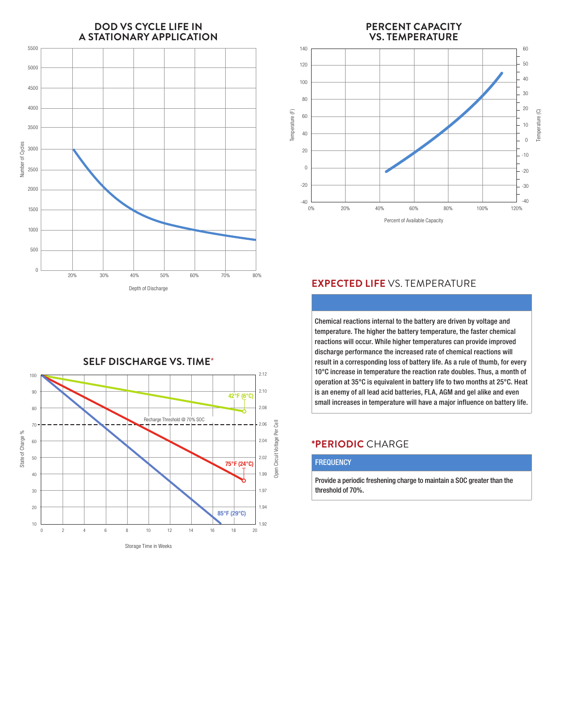



#### **PERCENT CAPACITY VS. TEMPERATURE** 140 60 50 120 40 100 30 80 20 Temperature (F) Temperature (C)Temperature (F) Temperature (C) Temperature (F) Temperature (C) 60 10 40  $\theta$ 20 -10  $\overline{0}$  $-20$ -20 -30 -40 ــا 40-<br>0% 0% 20% 40% 60% 80% 100% 120% Percent of Available Capacity Percent of Available Capacity

# **EXPECTED LIFE** VS. TEMPERATURE

Chemical reactions internal to the battery are driven by voltage and temperature. The higher the battery temperature, the faster chemical reactions will occur. While higher temperatures can provide improved discharge performance the increased rate of chemical reactions will result in a corresponding loss of battery life. As a rule of thumb, for every 10°C increase in temperature the reaction rate doubles. Thus, a month of operation at 35°C is equivalent in battery life to two months at 25°C. Heat is an enemy of all lead acid batteries, FLA, AGM and gel alike and even small increases in temperature will have a major influence on battery life.

### **\*PERIODIC** CHARGE

#### **FREQUENCY**

Provide a periodic freshening charge to maintain a SOC greater than the threshold of 70%.